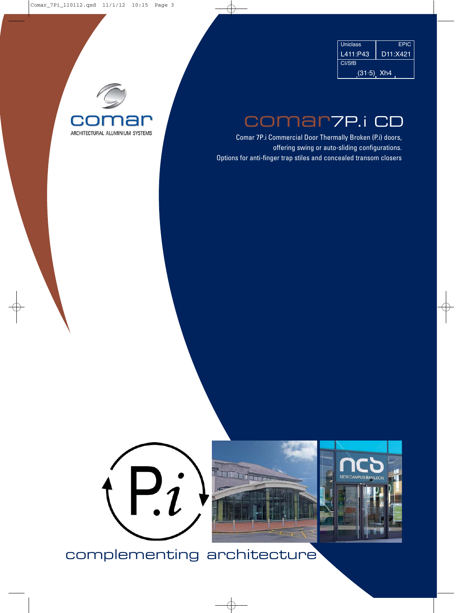| <b>Uniclass</b> | <b>FPIC</b> |  |  |
|-----------------|-------------|--|--|
| L411:P43        | D11:X421    |  |  |
| <b>CI/SfB</b>   |             |  |  |
| $(31.5)$ Xh4    |             |  |  |



### comar7P.i CD

offering swing or auto-sliding configurations. Options for anti-finger trap stiles and concealed transom closers Comar 7P.i Commercial Door Thermally Broken (P.i) doors,







## complementing architecture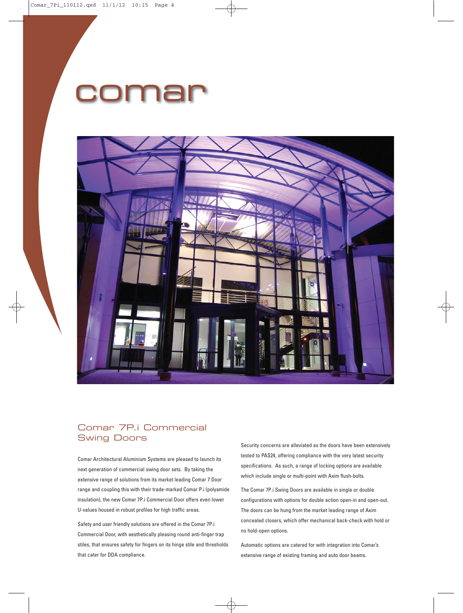## Dma



#### Swing Doors Comar 7P.i Commercial

Comar Architectural Aluminium Systems are pleased to launch its next generation of commercial swing door sets. By taking the extensive range of solutions from its market leading Comar 7 Door U-values housed in robust profiles for high traffic areas. range and coupling this with their trade-marked Comar P.i (polyamide insulation), the new Comar 7P.i Commercial Door offers even lower

Commercial Door, with aesthetically pleasing round anti-finger trap stiles, that ensures safety for fingers on its hinge stile and thresholds that cater for DDA compliance. Safety and user friendly solutions are offered in the Comar 7P.i

Security concerns are alleviated as the doors have been extensively tested to PAS24, offering compliance with the very latest security specifications. As such, a range of locking options are available which include single or multi-point with Axim flush-bolts.

configurations with options for double action open-in and open-out. The doors can be hung from the market leading range of Axim concealed closers, which offer mechanical back-check with hold or no hold-open options. The Comar 7P.i Swing Doors are available in single or double

Automatic options are catered for with integration into Comar's extensive range of existing framing and auto door beams.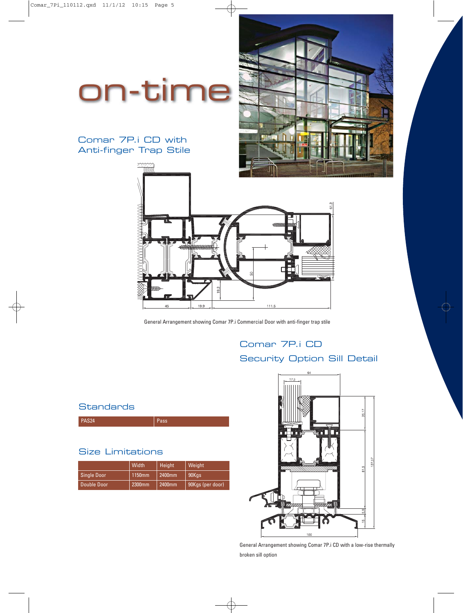## on-time

### Anti-finger Trap Stile Comar 7P.i CD with



General Arrangement showing Comar 7P.i Commercial Door with anti-finger trap stile

### Comar 7P.i CD

Security Option Sill Detail

### **Standards**

| <b>PAS24</b> | Pass |
|--------------|------|

### Size Limitations

|                    | Width  | Height | Weight           |
|--------------------|--------|--------|------------------|
| <b>Single Door</b> | 1150mm | 2400mm | 90Kgs            |
| Double Door        | 2300mm | 2400mm | 90Kgs (per door) |



broken sill option General Arrangement showing Comar 7P.i CD with a low-rise thermally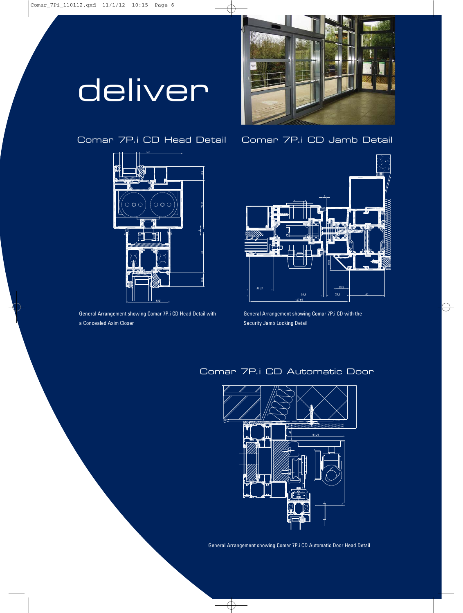## deliver





a Concealed Axim Closer Security Jamb Locking Detail General Arrangement showing Comar 7P.i CD Head Detail with General Arrangement showing Comar 7P.i CD with the

Comar 7P.i CD Head Detail Comar 7P.i CD Jamb Detail



### Comar 7P.i CD Automatic Door



General Arrangement showing Comar 7P.i CD Automatic Door Head Detail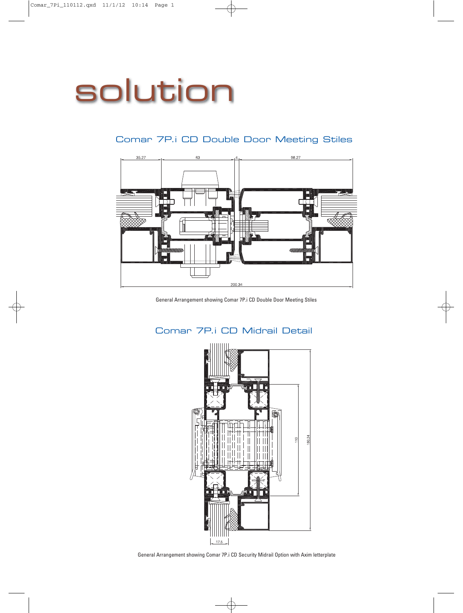# solution

98.27  $35.27$ 63 200.34

### Comar 7P.i CD Double Door Meeting Stiles

General Arrangement showing Comar 7P.i CD Double Door Meeting Stiles



#### Comar 7P.i CD Midrail Detail

General Arrangement showing Comar 7P.i CD Security Midrail Option with Axim letterplate